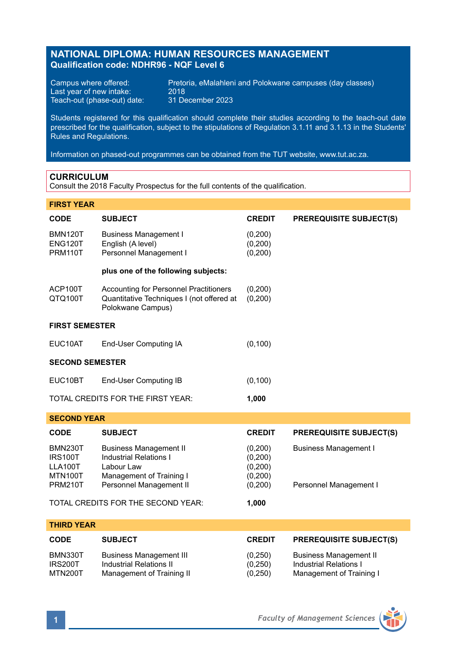## **NATIONAL DIPLOMA: HUMAN RESOURCES MANAGEMENT Qualification code: NDHR96 - NQF Level 6**

Last year of new intake:<br>
Teach-out (phase-out) date: 31 December 2023 Teach-out (phase-out) date:

Campus where offered: Pretoria, eMalahleni and Polokwane campuses (day classes)<br>Last year of new intake: 2018

Students registered for this qualification should complete their studies according to the teach-out date prescribed for the qualification, subject to the stipulations of Regulation 3.1.11 and 3.1.13 in the Students' Rules and Regulations.

Information on phased-out programmes can be obtained from the TUT website, www.tut.ac.za.

## **CURRICULUM**

Consult the 2018 Faculty Prospectus for the full contents of the qualification.

## **FIRST YEAR**

| <b>CODE</b>                                                              | <b>SUBJECT</b>                                                                                                                      | <b>CREDIT</b>                                          | <b>PREREQUISITE SUBJECT(S)</b>                                                             |  |  |  |
|--------------------------------------------------------------------------|-------------------------------------------------------------------------------------------------------------------------------------|--------------------------------------------------------|--------------------------------------------------------------------------------------------|--|--|--|
| <b>BMN120T</b><br>ENG120T<br><b>PRM110T</b>                              | <b>Business Management I</b><br>English (A level)<br>Personnel Management I                                                         | (0,200)<br>(0,200)<br>(0, 200)                         |                                                                                            |  |  |  |
|                                                                          | plus one of the following subjects:                                                                                                 |                                                        |                                                                                            |  |  |  |
| ACP100T<br>QTQ100T                                                       | Accounting for Personnel Practitioners<br>Quantitative Techniques I (not offered at<br>Polokwane Campus)                            | (0,200)<br>(0, 200)                                    |                                                                                            |  |  |  |
| <b>FIRST SEMESTER</b>                                                    |                                                                                                                                     |                                                        |                                                                                            |  |  |  |
| EUC10AT                                                                  | End-User Computing IA                                                                                                               | (0, 100)                                               |                                                                                            |  |  |  |
| <b>SECOND SEMESTER</b>                                                   |                                                                                                                                     |                                                        |                                                                                            |  |  |  |
| EUC10BT                                                                  | End-User Computing IB                                                                                                               | (0, 100)                                               |                                                                                            |  |  |  |
| TOTAL CREDITS FOR THE FIRST YEAR:<br>1,000                               |                                                                                                                                     |                                                        |                                                                                            |  |  |  |
| <b>SECOND YEAR</b>                                                       |                                                                                                                                     |                                                        |                                                                                            |  |  |  |
| <b>CODE</b>                                                              | <b>SUBJECT</b>                                                                                                                      | <b>CREDIT</b>                                          | <b>PREREQUISITE SUBJECT(S)</b>                                                             |  |  |  |
| <b>BMN230T</b><br><b>IRS100T</b><br>LLA100T<br>MTN100T<br><b>PRM210T</b> | <b>Business Management II</b><br><b>Industrial Relations I</b><br>Labour Law<br>Management of Training I<br>Personnel Management II | (0,200)<br>(0, 200)<br>(0, 200)<br>(0,200)<br>(0, 200) | <b>Business Management I</b><br>Personnel Management I                                     |  |  |  |
|                                                                          | TOTAL CREDITS FOR THE SECOND YEAR:                                                                                                  | 1,000                                                  |                                                                                            |  |  |  |
| <b>THIRD YEAR</b>                                                        |                                                                                                                                     |                                                        |                                                                                            |  |  |  |
| CODE                                                                     | <b>SUBJECT</b>                                                                                                                      | <b>CREDIT</b>                                          | <b>PREREQUISITE SUBJECT(S)</b>                                                             |  |  |  |
| BMN330T<br><b>IRS200T</b><br>MTN200T                                     | <b>Business Management III</b><br><b>Industrial Relations II</b><br>Management of Training II                                       | (0,250)<br>(0, 250)<br>(0, 250)                        | <b>Business Management II</b><br><b>Industrial Relations I</b><br>Management of Training I |  |  |  |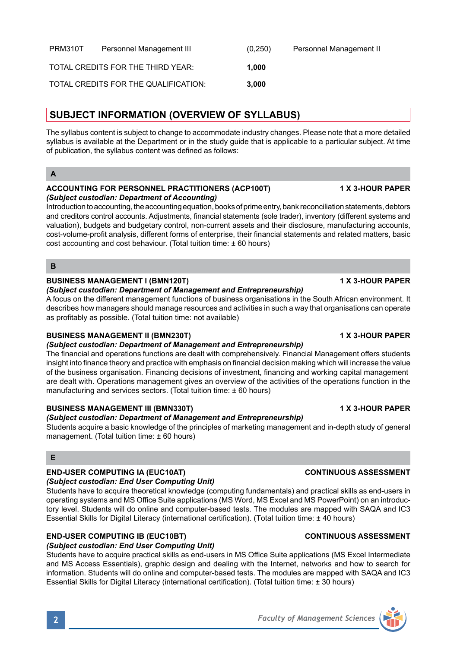| PRM310T | Personnel Management III             | (0,250) | Personnel Management II |
|---------|--------------------------------------|---------|-------------------------|
|         | TOTAL CREDITS FOR THE THIRD YEAR:    | 1.000   |                         |
|         | TOTAL CREDITS FOR THE QUALIFICATION: | 3.000   |                         |

## **SUBJECT INFORMATION (OVERVIEW OF SYLLABUS)**

The syllabus content is subject to change to accommodate industry changes. Please note that a more detailed syllabus is available at the Department or in the study guide that is applicable to a particular subject. At time of publication, the syllabus content was defined as follows:

### **ACCOUNTING FOR PERSONNEL PRACTITIONERS (ACP100T) 1 X 3-HOUR PAPER** *(Subject custodian: Department of Accounting)*

Introduction to accounting, the accounting equation, books of prime entry, bank reconciliation statements, debtors and creditors control accounts. Adjustments, financial statements (sole trader), inventory (different systems and valuation), budgets and budgetary control, non-current assets and their disclosure, manufacturing accounts, cost-volume-profit analysis, different forms of enterprise, their financial statements and related matters, basic cost accounting and cost behaviour. (Total tuition time: ± 60 hours)

**B**

## **BUSINESS MANAGEMENT I (BMN120T) 1 X 3-HOUR PAPER**

## *(Subject custodian: Department of Management and Entrepreneurship)*

A focus on the different management functions of business organisations in the South African environment. It describes how managers should manage resources and activities in such a way that organisations can operate as profitably as possible. (Total tuition time: not available)

## **BUSINESS MANAGEMENT II (BMN230T) 1 X 3-HOUR PAPER**

## *(Subject custodian: Department of Management and Entrepreneurship)*

The financial and operations functions are dealt with comprehensively. Financial Management offers students insight into finance theory and practice with emphasis on financial decision making which will increase the value of the business organisation. Financing decisions of investment, financing and working capital management are dealt with. Operations management gives an overview of the activities of the operations function in the manufacturing and services sectors. (Total tuition time: ± 60 hours)

## **BUSINESS MANAGEMENT III (BMN330T) 1 X 3-HOUR PAPER**

## *(Subject custodian: Department of Management and Entrepreneurship)*

Students acquire a basic knowledge of the principles of marketing management and in-depth study of general management. (Total tuition time: ± 60 hours)

## **E**

## **END-USER COMPUTING IA (EUC10AT) CONTINUOUS ASSESSMENT**

## *(Subject custodian: End User Computing Unit)*

Students have to acquire theoretical knowledge (computing fundamentals) and practical skills as end-users in operating systems and MS Office Suite applications (MS Word, MS Excel and MS PowerPoint) on an introductory level. Students will do online and computer-based tests. The modules are mapped with SAQA and IC3 Essential Skills for Digital Literacy (international certification). (Total tuition time: ± 40 hours)

information. Students will do online and computer-based tests. The modules are mapped with SAQA and IC3

## **END-USER COMPUTING IB (EUC10BT) CONTINUOUS ASSESSMENT**

*(Subject custodian: End User Computing Unit)* Students have to acquire practical skills as end-users in MS Office Suite applications (MS Excel Intermediate and MS Access Essentials), graphic design and dealing with the Internet, networks and how to search for

Essential Skills for Digital Literacy (international certification). (Total tuition time: ± 30 hours)

# **2** *Faculty of Management Sciences*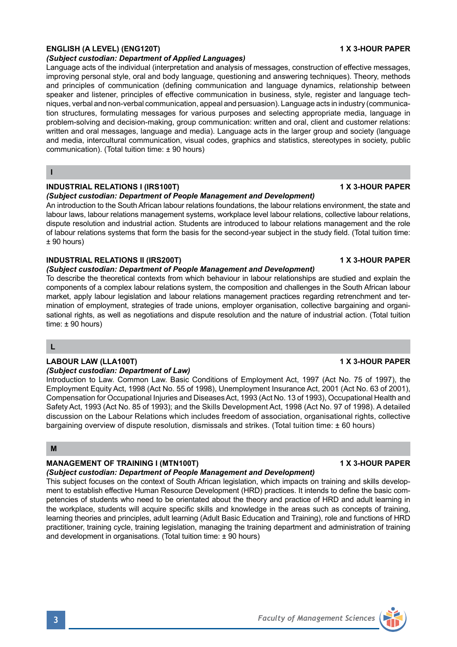## **ENGLISH (A LEVEL) (ENG120T) 1 X 3-HOUR PAPER**

## *(Subject custodian: Department of Applied Languages)*

Language acts of the individual (interpretation and analysis of messages, construction of effective messages, improving personal style, oral and body language, questioning and answering techniques). Theory, methods and principles of communication (defining communication and language dynamics, relationship between speaker and listener, principles of effective communication in business, style, register and language techniques, verbal and non-verbal communication, appeal and persuasion). Language acts in industry (communication structures, formulating messages for various purposes and selecting appropriate media, language in problem-solving and decision-making, group communication: written and oral, client and customer relations: written and oral messages, language and media). Language acts in the larger group and society (language and media, intercultural communication, visual codes, graphics and statistics, stereotypes in society, public communication). (Total tuition time: ± 90 hours)

### **I**

## **INDUSTRIAL RELATIONS I (IRS100T) 1 X 3-HOUR PAPER**

### *(Subject custodian: Department of People Management and Development)*

An introduction to the South African labour relations foundations, the labour relations environment, the state and labour laws, labour relations management systems, workplace level labour relations, collective labour relations, dispute resolution and industrial action. Students are introduced to labour relations management and the role of labour relations systems that form the basis for the second-year subject in the study field. (Total tuition time: ± 90 hours)

## **INDUSTRIAL RELATIONS II (IRS200T) 1 X 3-HOUR PAPER**

## *(Subject custodian: Department of People Management and Development)*

To describe the theoretical contexts from which behaviour in labour relationships are studied and explain the components of a complex labour relations system, the composition and challenges in the South African labour market, apply labour legislation and labour relations management practices regarding retrenchment and termination of employment, strategies of trade unions, employer organisation, collective bargaining and organisational rights, as well as negotiations and dispute resolution and the nature of industrial action. (Total tuition time: ± 90 hours)

## **L**

## **LABOUR LAW (LLA100T) 1 X 3-HOUR PAPER**

## *(Subject custodian: Department of Law)*

Introduction to Law. Common Law. Basic Conditions of Employment Act, 1997 (Act No. 75 of 1997), the Employment Equity Act, 1998 (Act No. 55 of 1998), Unemployment Insurance Act, 2001 (Act No. 63 of 2001), Compensation for Occupational Injuries and Diseases Act, 1993 (Act No. 13 of 1993), Occupational Health and Safety Act, 1993 (Act No. 85 of 1993); and the Skills Development Act, 1998 (Act No. 97 of 1998). A detailed discussion on the Labour Relations which includes freedom of association, organisational rights, collective bargaining overview of dispute resolution, dismissals and strikes. (Total tuition time: ± 60 hours)

### **M**

## **MANAGEMENT OF TRAINING I (MTN100T) 1 X 3-HOUR PAPER**

### *(Subject custodian: Department of People Management and Development)*

This subject focuses on the context of South African legislation, which impacts on training and skills development to establish effective Human Resource Development (HRD) practices. It intends to define the basic competencies of students who need to be orientated about the theory and practice of HRD and adult learning in the workplace, students will acquire specific skills and knowledge in the areas such as concepts of training, learning theories and principles, adult learning (Adult Basic Education and Training), role and functions of HRD practitioner, training cycle, training legislation, managing the training department and administration of training and development in organisations. (Total tuition time: ± 90 hours)